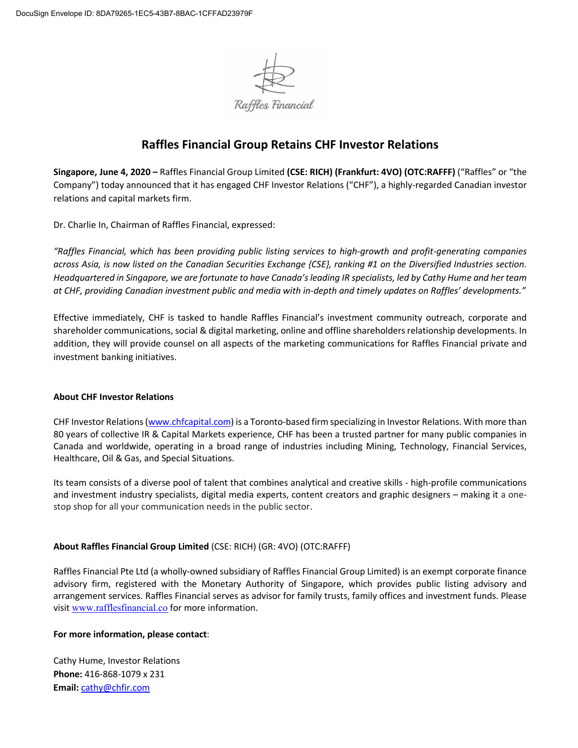

## **Raffles Financial Group Retains CHF Investor Relations**

**Singapore, June 4, 2020 –** Raffles Financial Group Limited **(CSE: RICH) (Frankfurt: 4VO) (OTC:RAFFF)** ("Raffles" or "the Company") today announced that it has engaged CHF Investor Relations ("CHF"), a highly-regarded Canadian investor relations and capital markets firm.

Dr. Charlie In, Chairman of Raffles Financial, expressed:

*"Raffles Financial, which has been providing public listing services to high-growth and profit-generating companies across Asia, is now listed on the Canadian Securities Exchange {CSE}, ranking #1 on the Diversified Industries section. Headquartered in Singapore, we are fortunate to have Canada's leading IR specialists, led by Cathy Hume and her team at CHF, providing Canadian investment public and media with in-depth and timely updates on Raffles' developments."*

Effective immediately, CHF is tasked to handle Raffles Financial's investment community outreach, corporate and shareholder communications, social & digital marketing, online and offline shareholders relationship developments. In addition, they will provide counsel on all aspects of the marketing communications for Raffles Financial private and investment banking initiatives.

## **About CHF Investor Relations**

CHF Investor Relations [\(www.chfcapital.com\)](http://www.chfcapital.com/) is a Toronto-based firm specializing in Investor Relations. With more than 80 years of collective IR & Capital Markets experience, CHF has been a trusted partner for many public companies in Canada and worldwide, operating in a broad range of industries including Mining, Technology, Financial Services, Healthcare, Oil & Gas, and Special Situations.

Its team consists of a diverse pool of talent that combines analytical and creative skills - high-profile communications and investment industry specialists, digital media experts, content creators and graphic designers – making it a onestop shop for all your communication needs in the public sector.

## **About Raffles Financial Group Limited** (CSE: RICH) (GR: 4VO) (OTC:RAFFF)

Raffles Financial Pte Ltd (a wholly-owned subsidiary of Raffles Financial Group Limited) is an exempt corporate finance advisory firm, registered with the Monetary Authority of Singapore, which provides public listing advisory and arrangement services. Raffles Financial serves as advisor for family trusts, family offices and investment funds. Please visit [www.rafflesfinancial.co](http://www.rafflesfinancial.co/) for more information.

## **For more information, please contact**:

Cathy Hume, Investor Relations **Phone:** 416-868-1079 x 231 **Email:** [cathy@chfir.com](mailto:cathy@chfir.com)